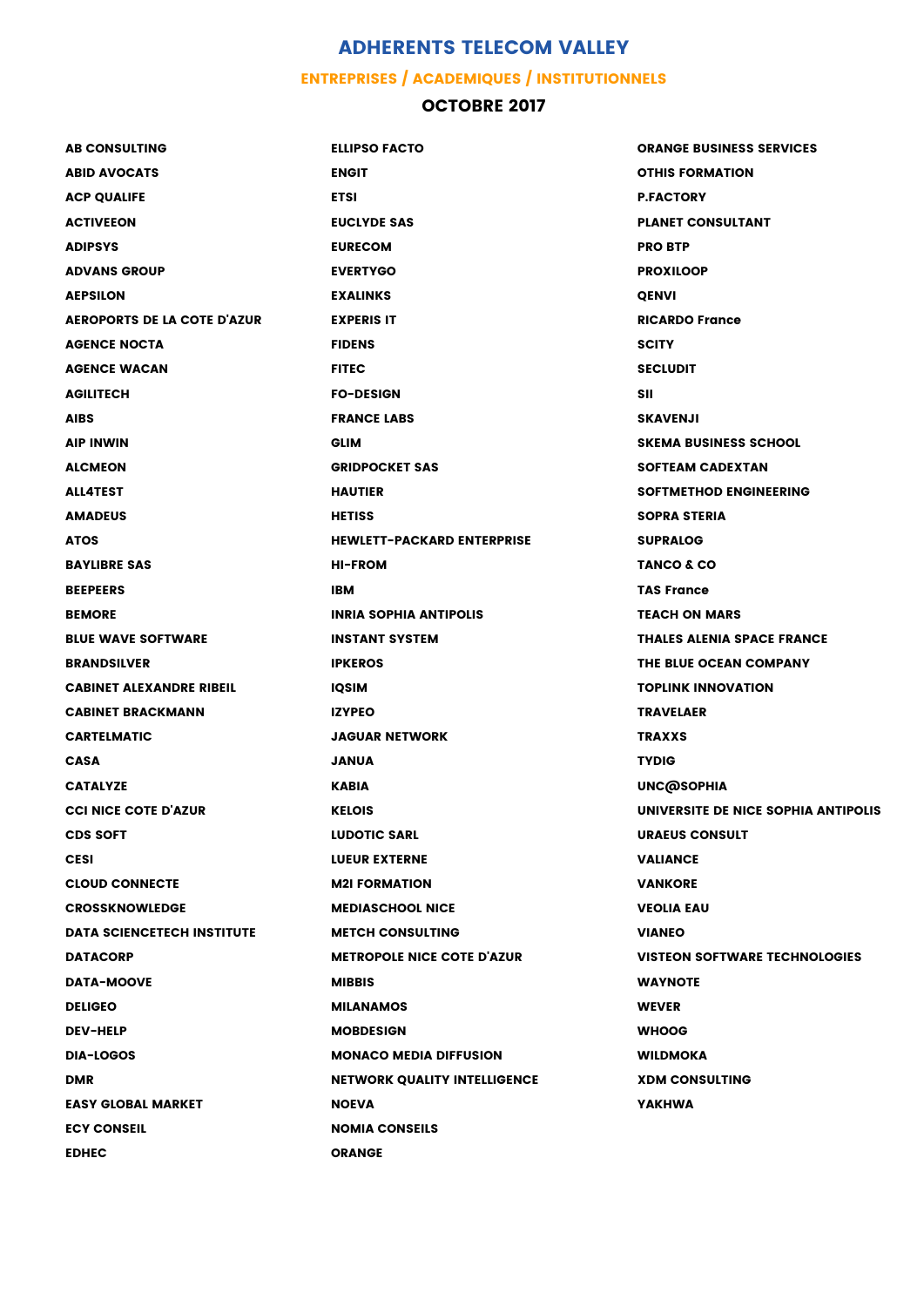## **ADHERENTS TELECOM VALLEY**

## **ENTREPRISES / ACADEMIQUES / INSTITUTIONNELS**

## **OCTOBRE 2017**

| <b>AB CONSULTING</b>               | <b>ELLIPSO FACTO</b>                | <b>ORANGE BUSINESS SERVICES</b>      |
|------------------------------------|-------------------------------------|--------------------------------------|
| <b>ABID AVOCATS</b>                | <b>ENGIT</b>                        | <b>OTHIS FORMATION</b>               |
| <b>ACP QUALIFE</b>                 | <b>ETSI</b>                         | <b>P.FACTORY</b>                     |
| <b>ACTIVEEON</b>                   | <b>EUCLYDE SAS</b>                  | <b>PLANET CONSULTANT</b>             |
| <b>ADIPSYS</b>                     | <b>EURECOM</b>                      | <b>PRO BTP</b>                       |
| <b>ADVANS GROUP</b>                | <b>EVERTYGO</b>                     | <b>PROXILOOP</b>                     |
| <b>AEPSILON</b>                    | <b>EXALINKS</b>                     | <b>QENVI</b>                         |
| <b>AEROPORTS DE LA COTE D'AZUR</b> | <b>EXPERIS IT</b>                   | <b>RICARDO France</b>                |
| <b>AGENCE NOCTA</b>                | <b>FIDENS</b>                       | <b>SCITY</b>                         |
| <b>AGENCE WACAN</b>                | <b>FITEC</b>                        | <b>SECLUDIT</b>                      |
| <b>AGILITECH</b>                   | <b>FO-DESIGN</b>                    | <b>SII</b>                           |
| <b>AIBS</b>                        | <b>FRANCE LABS</b>                  | <b>SKAVENJI</b>                      |
| <b>AIP INWIN</b>                   | <b>GLIM</b>                         | <b>SKEMA BUSINESS SCHOOL</b>         |
| <b>ALCMEON</b>                     | <b>GRIDPOCKET SAS</b>               | <b>SOFTEAM CADEXTAN</b>              |
| <b>ALL4TEST</b>                    | <b>HAUTIER</b>                      | <b>SOFTMETHOD ENGINEERING</b>        |
| <b>AMADEUS</b>                     | <b>HETISS</b>                       | <b>SOPRA STERIA</b>                  |
| <b>ATOS</b>                        | <b>HEWLETT-PACKARD ENTERPRISE</b>   | <b>SUPRALOG</b>                      |
| <b>BAYLIBRE SAS</b>                | <b>HI-FROM</b>                      | TANCO & CO                           |
| <b>BEEPEERS</b>                    | <b>IBM</b>                          | <b>TAS France</b>                    |
| <b>BEMORE</b>                      | <b>INRIA SOPHIA ANTIPOLIS</b>       | <b>TEACH ON MARS</b>                 |
| <b>BLUE WAVE SOFTWARE</b>          | <b>INSTANT SYSTEM</b>               | <b>THALES ALENIA SPACE FRANCE</b>    |
| <b>BRANDSILVER</b>                 | <b>IPKEROS</b>                      | THE BLUE OCEAN COMPANY               |
| <b>CABINET ALEXANDRE RIBEIL</b>    | <b>IQSIM</b>                        | <b>TOPLINK INNOVATION</b>            |
| <b>CABINET BRACKMANN</b>           | <b>IZYPEO</b>                       | <b>TRAVELAER</b>                     |
| <b>CARTELMATIC</b>                 | <b>JAGUAR NETWORK</b>               | <b>TRAXXS</b>                        |
| <b>CASA</b>                        | <b>JANUA</b>                        | <b>TYDIG</b>                         |
| <b>CATALYZE</b>                    | <b>KABIA</b>                        | <b>UNC@SOPHIA</b>                    |
| <b>CCI NICE COTE D'AZUR</b>        | <b>KELOIS</b>                       | UNIVERSITE DE NICE SOPHIA ANTIPOLIS  |
| <b>CDS SOFT</b>                    | <b>LUDOTIC SARL</b>                 | <b>URAEUS CONSULT</b>                |
| <b>CESI</b>                        | <b>LUEUR EXTERNE</b>                | <b>VALIANCE</b>                      |
| <b>CLOUD CONNECTE</b>              | <b>M2I FORMATION</b>                | <b>VANKORE</b>                       |
| <b>CROSSKNOWLEDGE</b>              | <b>MEDIASCHOOL NICE</b>             | <b>VEOLIA EAU</b>                    |
| <b>DATA SCIENCETECH INSTITUTE</b>  | <b>METCH CONSULTING</b>             | <b>VIANEO</b>                        |
| <b>DATACORP</b>                    | <b>METROPOLE NICE COTE D'AZUR</b>   | <b>VISTEON SOFTWARE TECHNOLOGIES</b> |
| <b>DATA-MOOVE</b>                  | <b>MIBBIS</b>                       | <b>WAYNOTE</b>                       |
| <b>DELIGEO</b>                     | <b>MILANAMOS</b>                    | <b>WEVER</b>                         |
| <b>DEV-HELP</b>                    | <b>MOBDESIGN</b>                    | <b>WHOOG</b>                         |
| <b>DIA-LOGOS</b>                   | <b>MONACO MEDIA DIFFUSION</b>       | <b>WILDMOKA</b>                      |
| <b>DMR</b>                         | <b>NETWORK QUALITY INTELLIGENCE</b> | <b>XDM CONSULTING</b>                |
| <b>EASY GLOBAL MARKET</b>          | <b>NOEVA</b>                        | <b>YAKHWA</b>                        |
| <b>ECY CONSEIL</b>                 | <b>NOMIA CONSEILS</b>               |                                      |
| <b>EDHEC</b>                       | <b>ORANGE</b>                       |                                      |